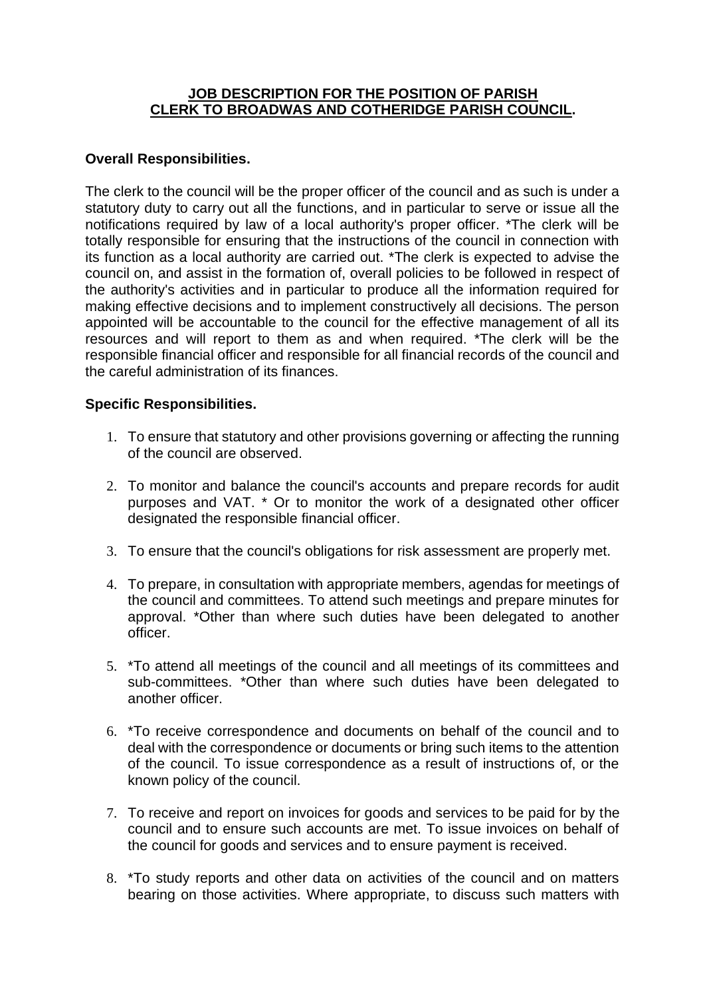## **JOB DESCRIPTION FOR THE POSITION OF PARISH CLERK TO BROADWAS AND COTHERIDGE PARISH COUNCIL.**

## **Overall Responsibilities.**

The clerk to the council will be the proper officer of the council and as such is under a statutory duty to carry out all the functions, and in particular to serve or issue all the notifications required by law of a local authority's proper officer. \*The clerk will be totally responsible for ensuring that the instructions of the council in connection with its function as a local authority are carried out. \*The clerk is expected to advise the council on, and assist in the formation of, overall policies to be followed in respect of the authority's activities and in particular to produce all the information required for making effective decisions and to implement constructively all decisions. The person appointed will be accountable to the council for the effective management of all its resources and will report to them as and when required. \*The clerk will be the responsible financial officer and responsible for all financial records of the council and the careful administration of its finances.

## **Specific Responsibilities.**

- 1. To ensure that statutory and other provisions governing or affecting the running of the council are observed.
- 2. To monitor and balance the council's accounts and prepare records for audit purposes and VAT. \* Or to monitor the work of a designated other officer designated the responsible financial officer.
- 3. To ensure that the council's obligations for risk assessment are properly met.
- 4. To prepare, in consultation with appropriate members, agendas for meetings of the council and committees. To attend such meetings and prepare minutes for approval. \*Other than where such duties have been delegated to another officer.
- 5. \*To attend all meetings of the council and all meetings of its committees and sub-committees. \*Other than where such duties have been delegated to another officer.
- 6. \*To receive correspondence and documents on behalf of the council and to deal with the correspondence or documents or bring such items to the attention of the council. To issue correspondence as a result of instructions of, or the known policy of the council.
- 7. To receive and report on invoices for goods and services to be paid for by the council and to ensure such accounts are met. To issue invoices on behalf of the council for goods and services and to ensure payment is received.
- 8. \*To study reports and other data on activities of the council and on matters bearing on those activities. Where appropriate, to discuss such matters with